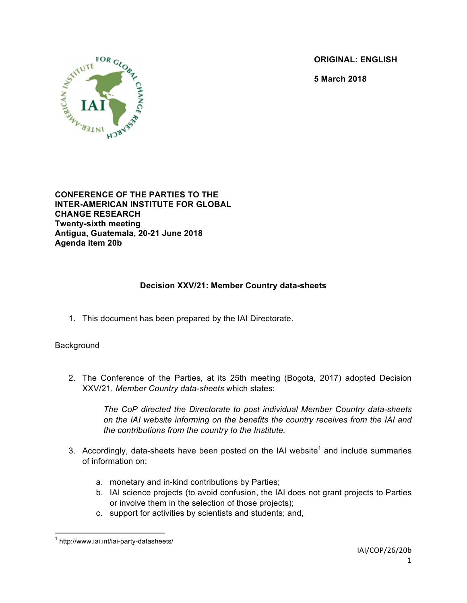**ORIGINAL: ENGLISH**

**5 March 2018**



**CONFERENCE OF THE PARTIES TO THE INTER-AMERICAN INSTITUTE FOR GLOBAL CHANGE RESEARCH Twenty-sixth meeting Antigua, Guatemala, 20-21 June 2018 Agenda item 20b**

## **Decision XXV/21: Member Country data-sheets**

1. This document has been prepared by the IAI Directorate.

## Background

2. The Conference of the Parties, at its 25th meeting (Bogota, 2017) adopted Decision XXV/21, *Member Country data-sheets* which states:

> *The CoP directed the Directorate to post individual Member Country data-sheets on the IAI website informing on the benefits the country receives from the IAI and the contributions from the country to the Institute.*

- 3. Accordingly, data-sheets have been posted on the IAI website<sup>1</sup> and include summaries of information on:
	- a. monetary and in-kind contributions by Parties;
	- b. IAI science projects (to avoid confusion, the IAI does not grant projects to Parties or involve them in the selection of those projects);
	- c. support for activities by scientists and students; and,

 <sup>1</sup> http://www.iai.int/iai-party-datasheets/